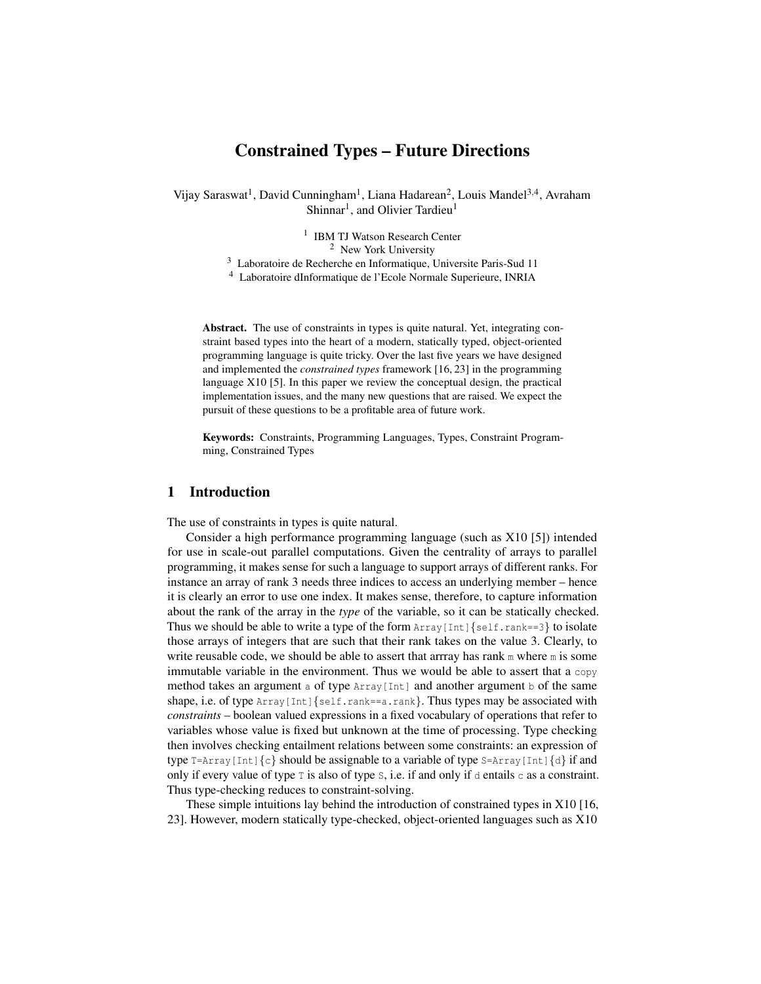# Constrained Types – Future Directions

Vijay Saraswat<sup>1</sup>, David Cunningham<sup>1</sup>, Liana Hadarean<sup>2</sup>, Louis Mandel<sup>3,4</sup>, Avraham Shinnar<sup>1</sup>, and Olivier Tardieu<sup>1</sup>

> 1 IBM TJ Watson Research Center <sup>2</sup> New York University

<sup>3</sup> Laboratoire de Recherche en Informatique, Universite Paris-Sud 11

<sup>4</sup> Laboratoire dInformatique de l'Ecole Normale Superieure, INRIA

Abstract. The use of constraints in types is quite natural. Yet, integrating constraint based types into the heart of a modern, statically typed, object-oriented programming language is quite tricky. Over the last five years we have designed and implemented the *constrained types* framework [16, 23] in the programming language X10 [5]. In this paper we review the conceptual design, the practical implementation issues, and the many new questions that are raised. We expect the pursuit of these questions to be a profitable area of future work.

Keywords: Constraints, Programming Languages, Types, Constraint Programming, Constrained Types

# 1 Introduction

The use of constraints in types is quite natural.

Consider a high performance programming language (such as X10 [5]) intended for use in scale-out parallel computations. Given the centrality of arrays to parallel programming, it makes sense for such a language to support arrays of different ranks. For instance an array of rank 3 needs three indices to access an underlying member – hence it is clearly an error to use one index. It makes sense, therefore, to capture information about the rank of the array in the *type* of the variable, so it can be statically checked. Thus we should be able to write a type of the form  $Array[Int]{self.random=3}$  to isolate those arrays of integers that are such that their rank takes on the value 3. Clearly, to write reusable code, we should be able to assert that arrray has rank  $m$  where  $m$  is some immutable variable in the environment. Thus we would be able to assert that a copy method takes an argument a of type  $Array[Int]$  and another argument b of the same shape, i.e. of type  $Array[Int]{self.random=a.random}$ . Thus types may be associated with *constraints* – boolean valued expressions in a fixed vocabulary of operations that refer to variables whose value is fixed but unknown at the time of processing. Type checking then involves checking entailment relations between some constraints: an expression of type  $T=ATray[Int]{c}$  should be assignable to a variable of type  $S=Array[Int]{d}$  if and only if every value of type  $\bar{z}$  is also of type  $\bar{z}$ , i.e. if and only if d entails c as a constraint. Thus type-checking reduces to constraint-solving.

These simple intuitions lay behind the introduction of constrained types in X10 [16, 23]. However, modern statically type-checked, object-oriented languages such as X10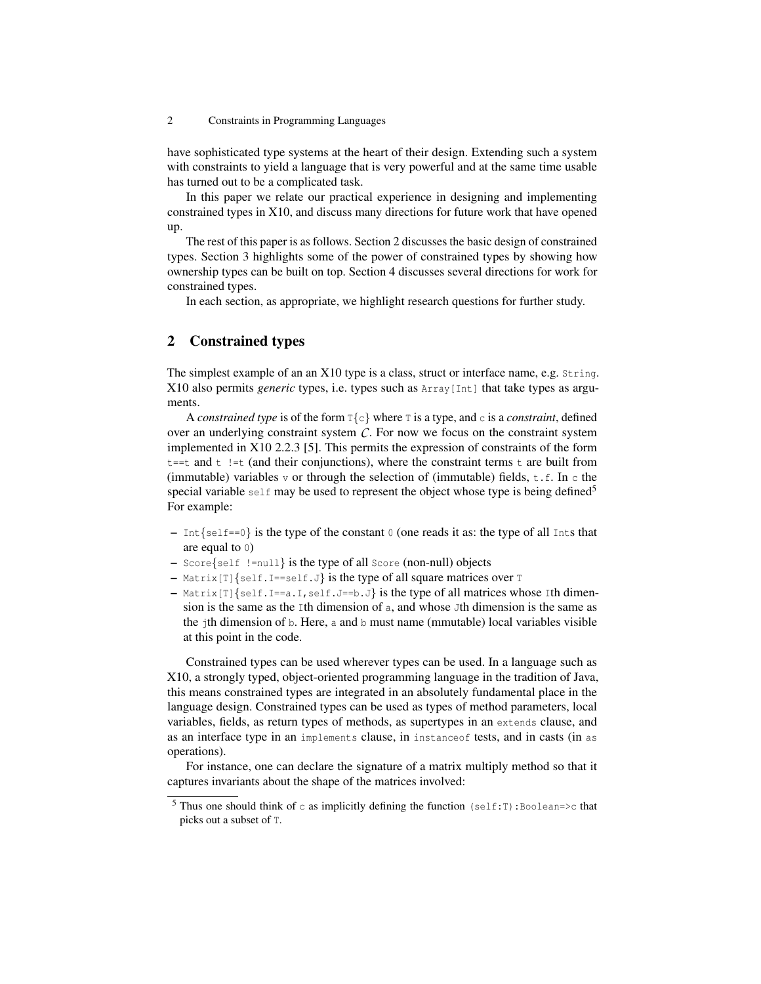have sophisticated type systems at the heart of their design. Extending such a system with constraints to yield a language that is very powerful and at the same time usable has turned out to be a complicated task.

In this paper we relate our practical experience in designing and implementing constrained types in X10, and discuss many directions for future work that have opened up.

The rest of this paper is as follows. Section 2 discusses the basic design of constrained types. Section 3 highlights some of the power of constrained types by showing how ownership types can be built on top. Section 4 discusses several directions for work for constrained types.

In each section, as appropriate, we highlight research questions for further study.

# 2 Constrained types

The simplest example of an an X10 type is a class, struct or interface name, e.g. String. X10 also permits *generic* types, i.e. types such as Array[Int] that take types as arguments.

A *constrained type* is of the form  $T\{c\}$  where T is a type, and c is a *constraint*, defined over an underlying constraint system  $C$ . For now we focus on the constraint system implemented in X10 2.2.3 [5]. This permits the expression of constraints of the form  $t = t$  and  $t$  !  $= t$  (and their conjunctions), where the constraint terms  $t$  are built from (immutable) variables  $\nu$  or through the selection of (immutable) fields,  $t.f.$  In c the special variable self may be used to represent the object whose type is being defined<sup>5</sup> For example:

- $-$  Int {self==0} is the type of the constant 0 (one reads it as: the type of all Ints that are equal to 0)
- Score{self !=null} is the type of all Score (non-null) objects
- $-$  Matrix  $[T]\$ self. I==self. J} is the type of all square matrices over T
- $-$  Matrix[T]{self.I==a.I, self.J==b.J} is the type of all matrices whose Ith dimension is the same as the Ith dimension of a, and whose Jth dimension is the same as the jth dimension of b. Here, a and b must name (mmutable) local variables visible at this point in the code.

Constrained types can be used wherever types can be used. In a language such as X10, a strongly typed, object-oriented programming language in the tradition of Java, this means constrained types are integrated in an absolutely fundamental place in the language design. Constrained types can be used as types of method parameters, local variables, fields, as return types of methods, as supertypes in an extends clause, and as an interface type in an implements clause, in instanceof tests, and in casts (in as operations).

For instance, one can declare the signature of a matrix multiply method so that it captures invariants about the shape of the matrices involved:

<sup>&</sup>lt;sup>5</sup> Thus one should think of c as implicitly defining the function (self:T):Boolean=>c that picks out a subset of T.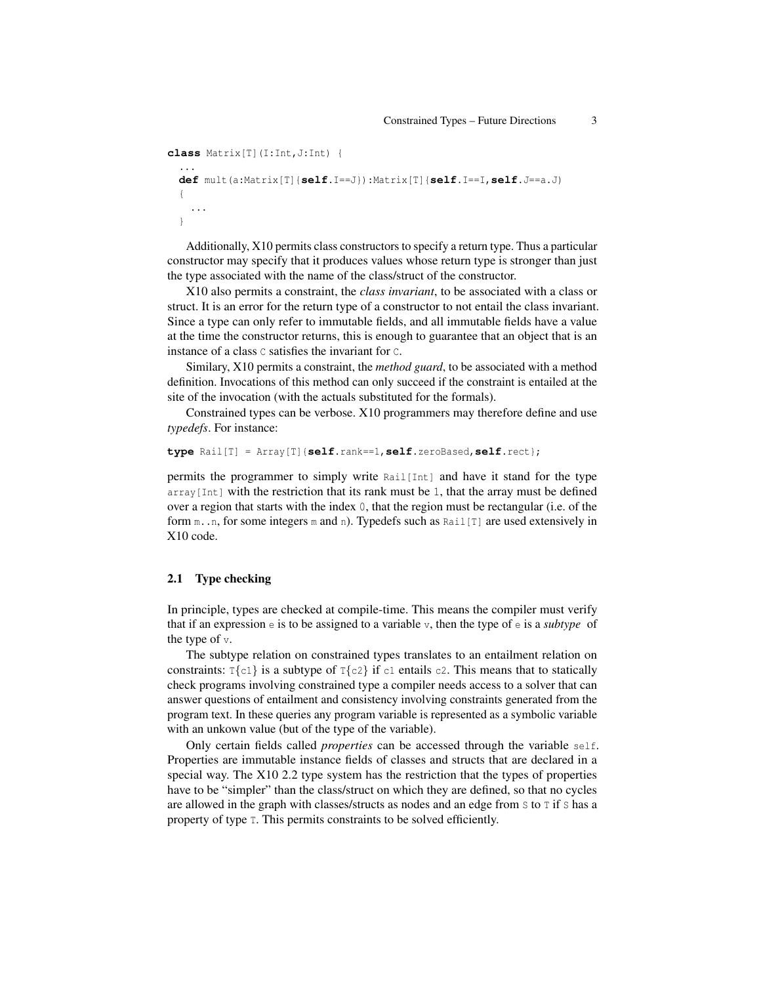```
class Matrix[T](I:Int,J:Int) {
  ...
 def mult(a:Matrix[T]{self.I==J}):Matrix[T]{self.I==I,self.J==a.J)
  {
    ...
  }
```
Additionally, X10 permits class constructors to specify a return type. Thus a particular constructor may specify that it produces values whose return type is stronger than just the type associated with the name of the class/struct of the constructor.

X10 also permits a constraint, the *class invariant*, to be associated with a class or struct. It is an error for the return type of a constructor to not entail the class invariant. Since a type can only refer to immutable fields, and all immutable fields have a value at the time the constructor returns, this is enough to guarantee that an object that is an instance of a class C satisfies the invariant for C.

Similary, X10 permits a constraint, the *method guard*, to be associated with a method definition. Invocations of this method can only succeed if the constraint is entailed at the site of the invocation (with the actuals substituted for the formals).

Constrained types can be verbose. X10 programmers may therefore define and use *typedefs*. For instance:

```
type Rail[T] = Array[T]{self.rank==1,self.zeroBased,self.rect};
```
permits the programmer to simply write Rail[Int] and have it stand for the type  $\arctan\left(\frac{\pi}{1+t}\right)$  with the restriction that its rank must be 1, that the array must be defined over a region that starts with the index 0, that the region must be rectangular (i.e. of the form  $m \ldots n$ , for some integers  $m$  and  $n$ ). Typedefs such as Rail[T] are used extensively in X10 code.

### 2.1 Type checking

In principle, types are checked at compile-time. This means the compiler must verify that if an expression e is to be assigned to a variable v, then the type of e is a *subtype* of the type of v.

The subtype relation on constrained types translates to an entailment relation on constraints:  $T\{c1\}$  is a subtype of  $T\{c2\}$  if  $c1$  entails  $c2$ . This means that to statically check programs involving constrained type a compiler needs access to a solver that can answer questions of entailment and consistency involving constraints generated from the program text. In these queries any program variable is represented as a symbolic variable with an unkown value (but of the type of the variable).

Only certain fields called *properties* can be accessed through the variable self. Properties are immutable instance fields of classes and structs that are declared in a special way. The X10 2.2 type system has the restriction that the types of properties have to be "simpler" than the class/struct on which they are defined, so that no cycles are allowed in the graph with classes/structs as nodes and an edge from S to T if S has a property of type T. This permits constraints to be solved efficiently.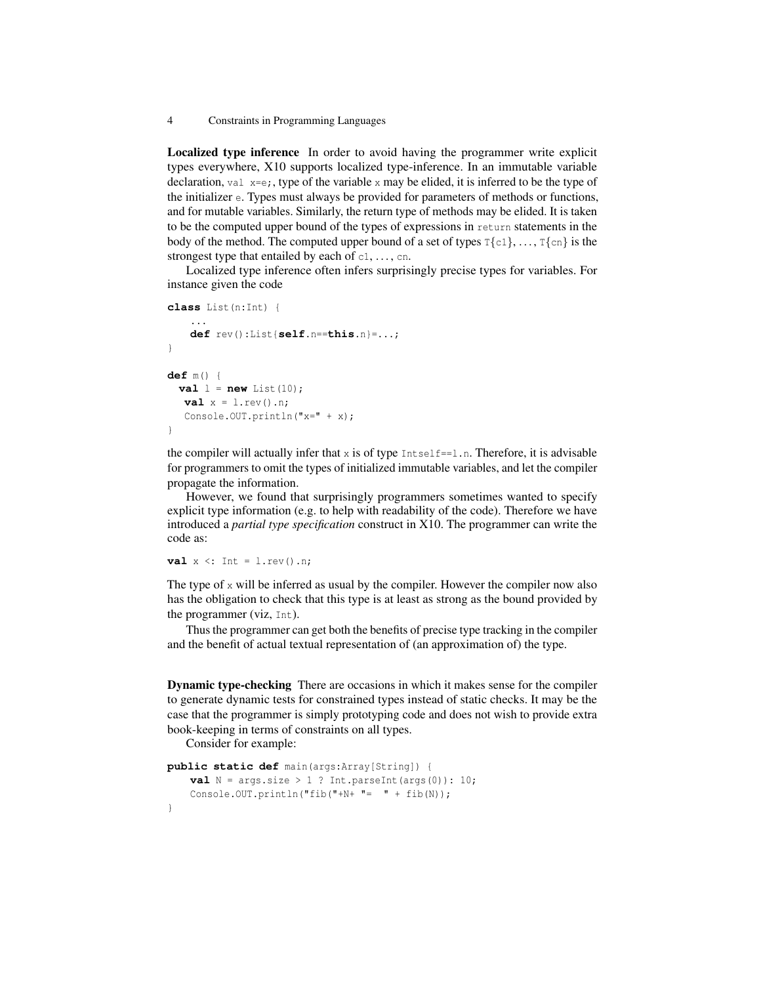Localized type inference In order to avoid having the programmer write explicit types everywhere, X10 supports localized type-inference. In an immutable variable declaration, val  $x=e$ ;, type of the variable x may be elided, it is inferred to be the type of the initializer e. Types must always be provided for parameters of methods or functions, and for mutable variables. Similarly, the return type of methods may be elided. It is taken to be the computed upper bound of the types of expressions in return statements in the body of the method. The computed upper bound of a set of types  $T\{c_1\}, \ldots, T\{cn\}$  is the strongest type that entailed by each of  $c_1, \ldots, c_n$ .

Localized type inference often infers surprisingly precise types for variables. For instance given the code

```
class List(n:Int) {
    ...
   def rev():List{self.n==this.n}=...;
}
def m() {
 val l = new List(10);
  val x = 1.rev().n;Console.OUT.println("x=" + x);
}
```
the compiler will actually infer that  $x$  is of type  $Intself==1.n$ . Therefore, it is advisable for programmers to omit the types of initialized immutable variables, and let the compiler propagate the information.

However, we found that surprisingly programmers sometimes wanted to specify explicit type information (e.g. to help with readability of the code). Therefore we have introduced a *partial type specification* construct in X10. The programmer can write the code as:

**val**  $x \le$ : Int =  $l$ .rev().n;

The type of  $x$  will be inferred as usual by the compiler. However the compiler now also has the obligation to check that this type is at least as strong as the bound provided by the programmer (viz, Int).

Thus the programmer can get both the benefits of precise type tracking in the compiler and the benefit of actual textual representation of (an approximation of) the type.

Dynamic type-checking There are occasions in which it makes sense for the compiler to generate dynamic tests for constrained types instead of static checks. It may be the case that the programmer is simply prototyping code and does not wish to provide extra book-keeping in terms of constraints on all types.

Consider for example:

```
public static def main(args:Array[String]) {
   val N = \arg s.\size > 1 ? Int.parseInt(\arg s(0)): 10;
   Console.OUT.println("fib("+N+ "= " + fib(N));
}
```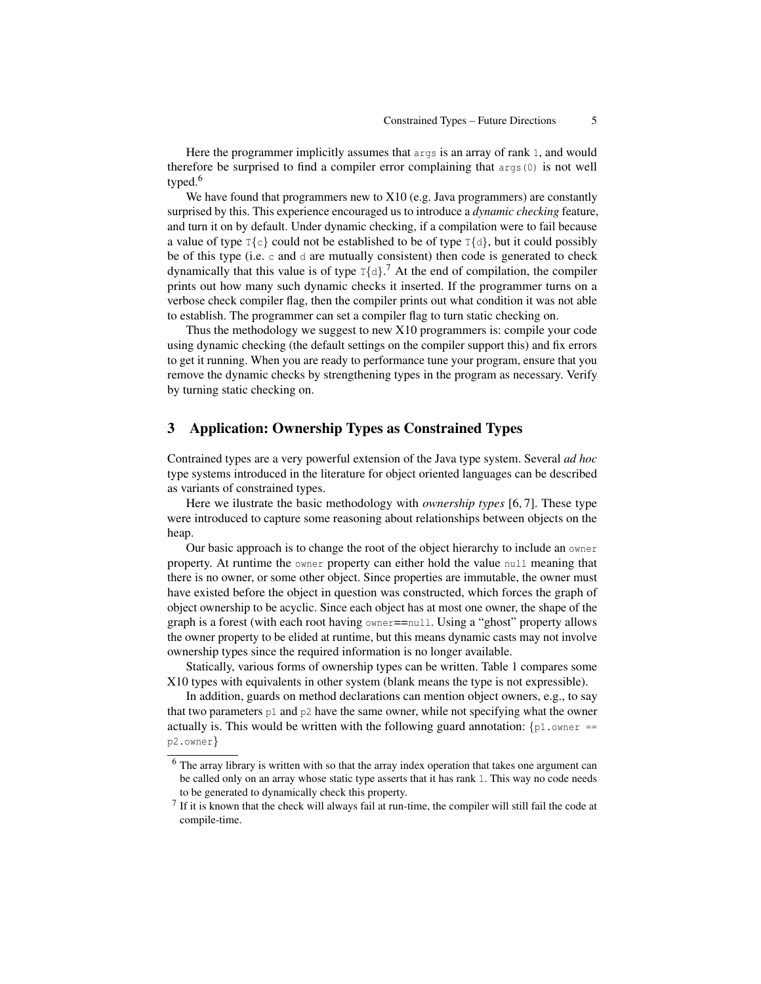Here the programmer implicitly assumes that  $\arg\inf$  is an array of rank 1, and would therefore be surprised to find a compiler error complaining that  $\arg(s(0))$  is not well typed.<sup>6</sup>

We have found that programmers new to X10 (e.g. Java programmers) are constantly surprised by this. This experience encouraged us to introduce a *dynamic checking* feature, and turn it on by default. Under dynamic checking, if a compilation were to fail because a value of type  $T\{c\}$  could not be established to be of type  $T\{d\}$ , but it could possibly be of this type (i.e.  $\circ$  and  $\circ$  are mutually consistent) then code is generated to check dynamically that this value is of type  $T\{\alpha\}$ .<sup>7</sup> At the end of compilation, the compiler prints out how many such dynamic checks it inserted. If the programmer turns on a verbose check compiler flag, then the compiler prints out what condition it was not able to establish. The programmer can set a compiler flag to turn static checking on.

Thus the methodology we suggest to new X10 programmers is: compile your code using dynamic checking (the default settings on the compiler support this) and fix errors to get it running. When you are ready to performance tune your program, ensure that you remove the dynamic checks by strengthening types in the program as necessary. Verify by turning static checking on.

# 3 Application: Ownership Types as Constrained Types

Contrained types are a very powerful extension of the Java type system. Several *ad hoc* type systems introduced in the literature for object oriented languages can be described as variants of constrained types.

Here we ilustrate the basic methodology with *ownership types* [6, 7]. These type were introduced to capture some reasoning about relationships between objects on the heap.

Our basic approach is to change the root of the object hierarchy to include an owner property. At runtime the owner property can either hold the value null meaning that there is no owner, or some other object. Since properties are immutable, the owner must have existed before the object in question was constructed, which forces the graph of object ownership to be acyclic. Since each object has at most one owner, the shape of the graph is a forest (with each root having owner==null. Using a "ghost" property allows the owner property to be elided at runtime, but this means dynamic casts may not involve ownership types since the required information is no longer available.

Statically, various forms of ownership types can be written. Table 1 compares some X10 types with equivalents in other system (blank means the type is not expressible).

In addition, guards on method declarations can mention object owners, e.g., to say that two parameters  $p1$  and  $p2$  have the same owner, while not specifying what the owner actually is. This would be written with the following guard annotation:  $\{p1.$  owner == p2.owner}

<sup>&</sup>lt;sup>6</sup> The array library is written with so that the array index operation that takes one argument can be called only on an array whose static type asserts that it has rank 1. This way no code needs to be generated to dynamically check this property.

 $<sup>7</sup>$  If it is known that the check will always fail at run-time, the compiler will still fail the code at</sup> compile-time.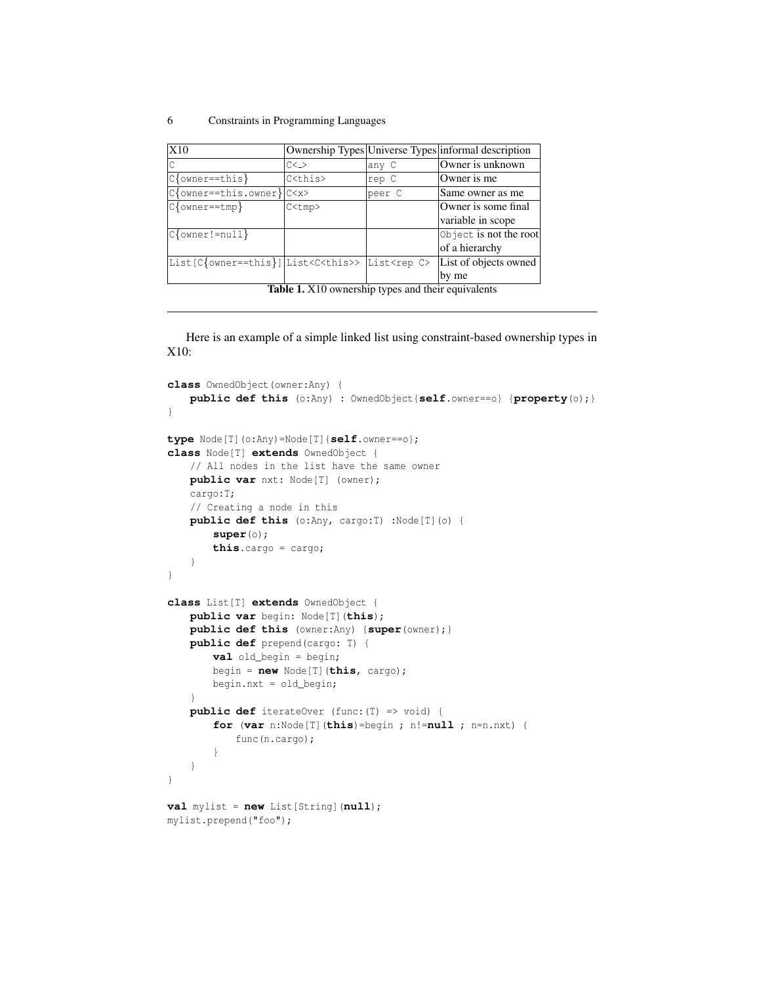| X10                                                                  |                 |        | Ownership Types Universe Types informal description |
|----------------------------------------------------------------------|-----------------|--------|-----------------------------------------------------|
|                                                                      | $C\leq$         | lany C | Owner is unknown                                    |
| $C$ {owner==this}                                                    | C <this></this> | rep C  | Owner is me                                         |
| $C$ {owner==this.owner} $ C \langle x \rangle$                       |                 | peer C | Same owner as me                                    |
| $C$ {owner==tmp}                                                     | C <ump></ump>   |        | Owner is some final                                 |
|                                                                      |                 |        | variable in scope                                   |
| $C$ {owner!=null}                                                    |                 |        | Object is not the root                              |
|                                                                      |                 |        | of a hierarchy                                      |
| List[C{owner==this}] List <c<this>&gt; List<rep c=""></rep></c<this> |                 |        | List of objects owned                               |
|                                                                      |                 |        | by me                                               |
| <b>Table 1.</b> X10 ownership types and their equivalents            |                 |        |                                                     |

Here is an example of a simple linked list using constraint-based ownership types in X10:

```
class OwnedObject(owner:Any) {
   public def this (o:Any) : OwnedObject{self.owner==o} {property(o);}
}
type Node[T](o:Any)=Node[T]{self.owner==o};
class Node[T] extends OwnedObject {
   // All nodes in the list have the same owner
   public var nxt: Node[T] (owner);
   cargo:T;
   // Creating a node in this
   public def this (o:Any, cargo:T) :Node[T](o) {
       super(o);
       this.cargo = cargo;
    }
}
class List[T] extends OwnedObject {
   public var begin: Node[T](this);
   public def this (owner:Any) {super(owner);}
   public def prepend(cargo: T) {
       val old_begin = begin;
       begin = new Node[T](this, cargo);
       begin.nxt = old_begin;
    }
   public def iterateOver (func:(T) => void) {
       for (var n:Node[T](this)=begin ; n!=null ; n=n.nxt) {
           func(n.cargo);
        }
   }
}
val mylist = new List[String](null);
mylist.prepend("foo");
```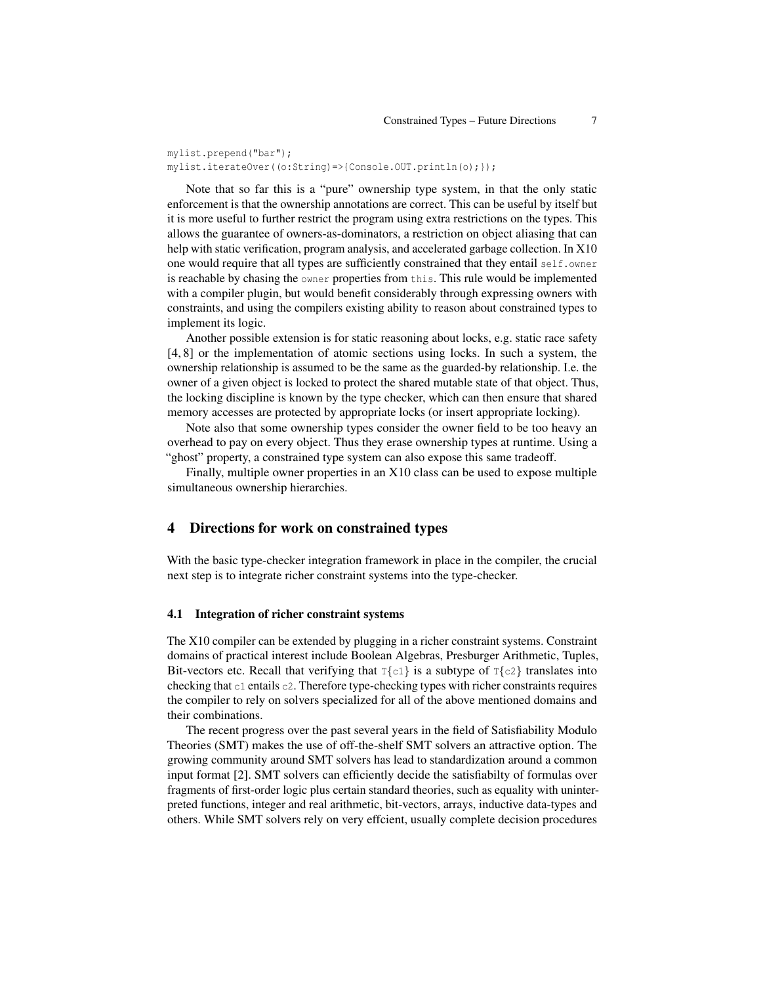mylist.prepend("bar"); mylist.iterateOver((o:String)=>{Console.OUT.println(o);});

Note that so far this is a "pure" ownership type system, in that the only static enforcement is that the ownership annotations are correct. This can be useful by itself but it is more useful to further restrict the program using extra restrictions on the types. This allows the guarantee of owners-as-dominators, a restriction on object aliasing that can help with static verification, program analysis, and accelerated garbage collection. In X10 one would require that all types are sufficiently constrained that they entail self.owner is reachable by chasing the owner properties from this. This rule would be implemented with a compiler plugin, but would benefit considerably through expressing owners with constraints, and using the compilers existing ability to reason about constrained types to implement its logic.

Another possible extension is for static reasoning about locks, e.g. static race safety [4, 8] or the implementation of atomic sections using locks. In such a system, the ownership relationship is assumed to be the same as the guarded-by relationship. I.e. the owner of a given object is locked to protect the shared mutable state of that object. Thus, the locking discipline is known by the type checker, which can then ensure that shared memory accesses are protected by appropriate locks (or insert appropriate locking).

Note also that some ownership types consider the owner field to be too heavy an overhead to pay on every object. Thus they erase ownership types at runtime. Using a "ghost" property, a constrained type system can also expose this same tradeoff.

Finally, multiple owner properties in an X10 class can be used to expose multiple simultaneous ownership hierarchies.

### 4 Directions for work on constrained types

With the basic type-checker integration framework in place in the compiler, the crucial next step is to integrate richer constraint systems into the type-checker.

### 4.1 Integration of richer constraint systems

The X10 compiler can be extended by plugging in a richer constraint systems. Constraint domains of practical interest include Boolean Algebras, Presburger Arithmetic, Tuples, Bit-vectors etc. Recall that verifying that  $T\{c1\}$  is a subtype of  $T\{c2\}$  translates into checking that  $c_1$  entails  $c_2$ . Therefore type-checking types with richer constraints requires the compiler to rely on solvers specialized for all of the above mentioned domains and their combinations.

The recent progress over the past several years in the field of Satisfiability Modulo Theories (SMT) makes the use of off-the-shelf SMT solvers an attractive option. The growing community around SMT solvers has lead to standardization around a common input format [2]. SMT solvers can efficiently decide the satisfiabilty of formulas over fragments of first-order logic plus certain standard theories, such as equality with uninterpreted functions, integer and real arithmetic, bit-vectors, arrays, inductive data-types and others. While SMT solvers rely on very effcient, usually complete decision procedures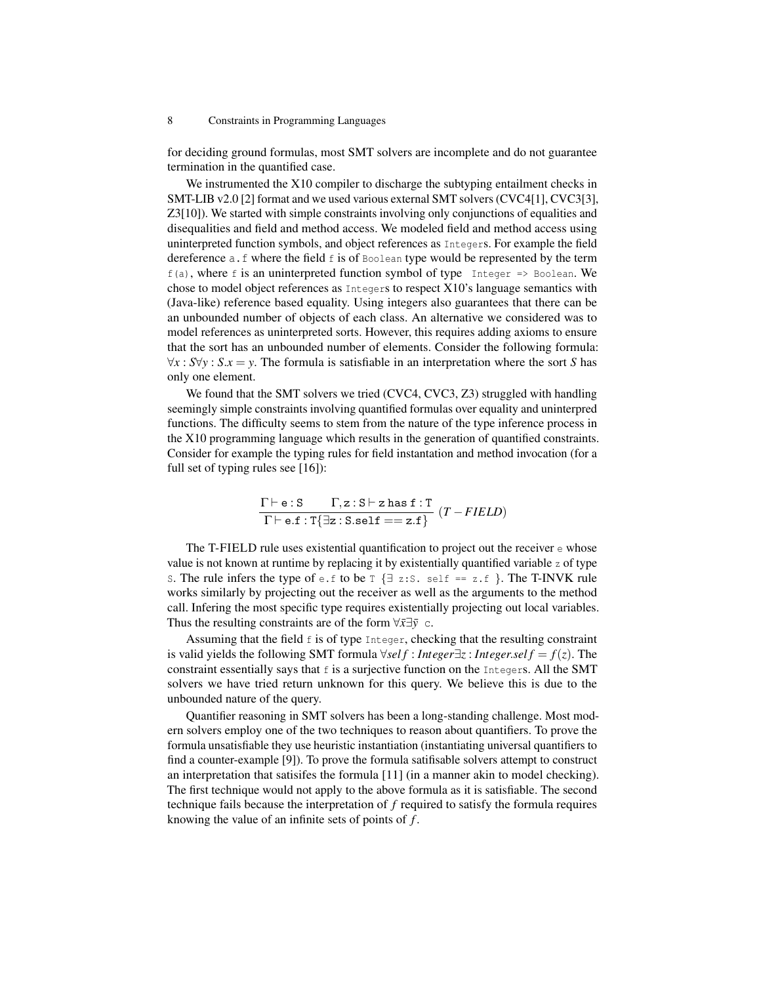for deciding ground formulas, most SMT solvers are incomplete and do not guarantee termination in the quantified case.

We instrumented the X10 compiler to discharge the subtyping entailment checks in SMT-LIB v2.0 [2] format and we used various external SMT solvers (CVC4[1], CVC3[3], Z3[10]). We started with simple constraints involving only conjunctions of equalities and disequalities and field and method access. We modeled field and method access using uninterpreted function symbols, and object references as Integers. For example the field dereference a.f where the field f is of Boolean type would be represented by the term  $f(a)$ , where f is an uninterpreted function symbol of type Integer => Boolean. We chose to model object references as Integers to respect X10's language semantics with (Java-like) reference based equality. Using integers also guarantees that there can be an unbounded number of objects of each class. An alternative we considered was to model references as uninterpreted sorts. However, this requires adding axioms to ensure that the sort has an unbounded number of elements. Consider the following formula:  $∀x : S∀y : S.x = y$ . The formula is satisfiable in an interpretation where the sort *S* has only one element.

We found that the SMT solvers we tried (CVC4, CVC3, Z3) struggled with handling seemingly simple constraints involving quantified formulas over equality and uninterpred functions. The difficulty seems to stem from the nature of the type inference process in the X10 programming language which results in the generation of quantified constraints. Consider for example the typing rules for field instantation and method invocation (for a full set of typing rules see [16]):

$$
\frac{\Gamma \vdash e : S \qquad \Gamma, z : S \vdash z \text{ has } f : T}{\Gamma \vdash e.f : T\{\exists z : S.\mathtt{self} == z.f\}} \ (T - FIELD)
$$

The T-FIELD rule uses existential quantification to project out the receiver e whose value is not known at runtime by replacing it by existentially quantified variable z of type S. The rule infers the type of e.f to be  $T \{ \exists z : S$ . self == z.f }. The T-INVK rule works similarly by projecting out the receiver as well as the arguments to the method call. Infering the most specific type requires existentially projecting out local variables. Thus the resulting constraints are of the form  $\forall \bar{x} \exists \bar{y}$  c.

Assuming that the field  $f$  is of type Integer, checking that the resulting constraint is valid yields the following SMT formula ∀*sel f* : *Integer*∃*z* : *Integer*.*sel f* = *f*(*z*). The constraint essentially says that  $f$  is a surjective function on the Integers. All the SMT solvers we have tried return unknown for this query. We believe this is due to the unbounded nature of the query.

Quantifier reasoning in SMT solvers has been a long-standing challenge. Most modern solvers employ one of the two techniques to reason about quantifiers. To prove the formula unsatisfiable they use heuristic instantiation (instantiating universal quantifiers to find a counter-example [9]). To prove the formula satifisable solvers attempt to construct an interpretation that satisifes the formula [11] (in a manner akin to model checking). The first technique would not apply to the above formula as it is satisfiable. The second technique fails because the interpretation of *f* required to satisfy the formula requires knowing the value of an infinite sets of points of *f* .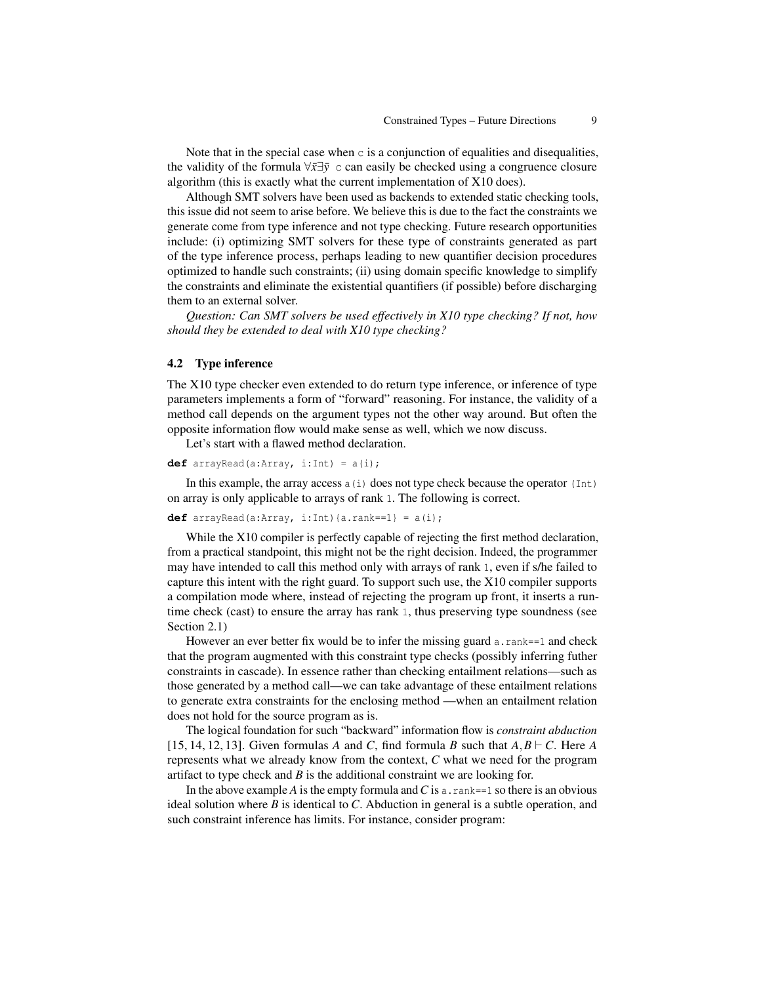Note that in the special case when  $\circ$  is a conjunction of equalities and disequalities, the validity of the formula ∀*x*¯∃*y*¯ c can easily be checked using a congruence closure algorithm (this is exactly what the current implementation of X10 does).

Although SMT solvers have been used as backends to extended static checking tools, this issue did not seem to arise before. We believe this is due to the fact the constraints we generate come from type inference and not type checking. Future research opportunities include: (i) optimizing SMT solvers for these type of constraints generated as part of the type inference process, perhaps leading to new quantifier decision procedures optimized to handle such constraints; (ii) using domain specific knowledge to simplify the constraints and eliminate the existential quantifiers (if possible) before discharging them to an external solver.

*Question: Can SMT solvers be used effectively in X10 type checking? If not, how should they be extended to deal with X10 type checking?*

#### 4.2 Type inference

The X10 type checker even extended to do return type inference, or inference of type parameters implements a form of "forward" reasoning. For instance, the validity of a method call depends on the argument types not the other way around. But often the opposite information flow would make sense as well, which we now discuss.

Let's start with a flawed method declaration.

```
def arrayRead(a:Array, i:Int) = a(i);
```
In this example, the array access  $a(i)$  does not type check because the operator (Int) on array is only applicable to arrays of rank 1. The following is correct.

#### **def**  $arrayRead(a:Array, i:Int)$  $\{a.random==1\} = a(i);$

While the X10 compiler is perfectly capable of rejecting the first method declaration, from a practical standpoint, this might not be the right decision. Indeed, the programmer may have intended to call this method only with arrays of rank 1, even if s/he failed to capture this intent with the right guard. To support such use, the X10 compiler supports a compilation mode where, instead of rejecting the program up front, it inserts a runtime check (cast) to ensure the array has rank 1, thus preserving type soundness (see Section 2.1)

However an ever better fix would be to infer the missing guard  $a$ . rank==1 and check that the program augmented with this constraint type checks (possibly inferring futher constraints in cascade). In essence rather than checking entailment relations—such as those generated by a method call—we can take advantage of these entailment relations to generate extra constraints for the enclosing method —when an entailment relation does not hold for the source program as is.

The logical foundation for such "backward" information flow is *constraint abduction* [15, 14, 12, 13]. Given formulas *A* and *C*, find formula *B* such that  $A, B \vdash C$ . Here *A* represents what we already know from the context, *C* what we need for the program artifact to type check and *B* is the additional constraint we are looking for.

In the above example *A* is the empty formula and *C* is a. rank==1 so there is an obvious ideal solution where *B* is identical to *C*. Abduction in general is a subtle operation, and such constraint inference has limits. For instance, consider program: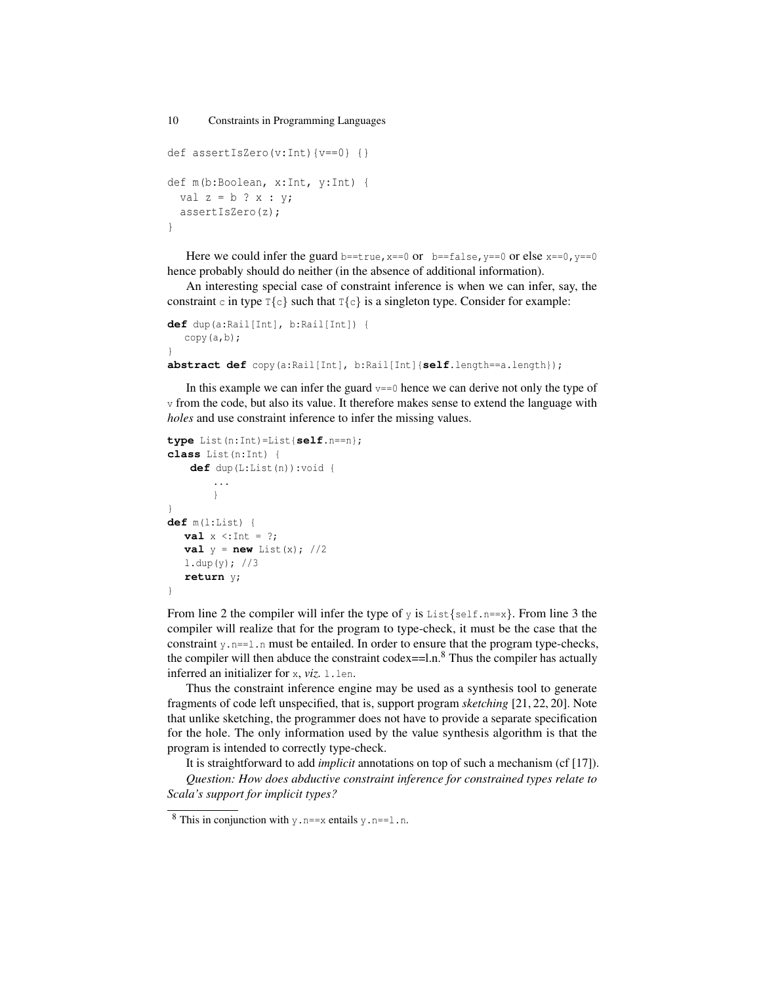```
10 Constraints in Programming Languages
def assertIsZero(v:Int){v==0} {}
def m(b:Boolean, x:Int, y:Int) {
 val z = b ? x : y;assertIsZero(z);
}
```
Here we could infer the guard b==true,  $x=-0$  or  $b=-f$  alse,  $y=-0$  or else  $x=-0$ ,  $y=-0$ hence probably should do neither (in the absence of additional information).

An interesting special case of constraint inference is when we can infer, say, the constraint c in type  $T\{c\}$  such that  $T\{c\}$  is a singleton type. Consider for example:

```
def dup(a:Rail[Int], b:Rail[Int]) {
  copy(a,b);
}
abstract def copy(a:Rail[Int], b:Rail[Int]{self.length==a.length});
```
In this example we can infer the guard  $v == 0$  hence we can derive not only the type of v from the code, but also its value. It therefore makes sense to extend the language with *holes* and use constraint inference to infer the missing values.

```
type List(n:Int)=List{self.n==n};
class List(n:Int) {
    def dup(L:List(n)):void {
        ...
        }
}
def m(l:List) {
  val x \leq \text{Int} = ?;
  val y = new List(x); //2
  l.dup(y); //3
  return y;
}
```
From line 2 the compiler will infer the type of  $y$  is List $\{\text{self.n} == x\}$ . From line 3 the compiler will realize that for the program to type-check, it must be the case that the constraint  $y, n=1, n$  must be entailed. In order to ensure that the program type-checks, the compiler will then abduce the constraint codex==l.n.<sup>8</sup> Thus the compiler has actually inferred an initializer for x, *viz.* l.len.

Thus the constraint inference engine may be used as a synthesis tool to generate fragments of code left unspecified, that is, support program *sketching* [21, 22, 20]. Note that unlike sketching, the programmer does not have to provide a separate specification for the hole. The only information used by the value synthesis algorithm is that the program is intended to correctly type-check.

It is straightforward to add *implicit* annotations on top of such a mechanism (cf [17]). *Question: How does abductive constraint inference for constrained types relate to Scala's support for implicit types?*

<sup>&</sup>lt;sup>8</sup> This in conjunction with  $y \cdot n == x$  entails  $y \cdot n == 1 \cdot n$ .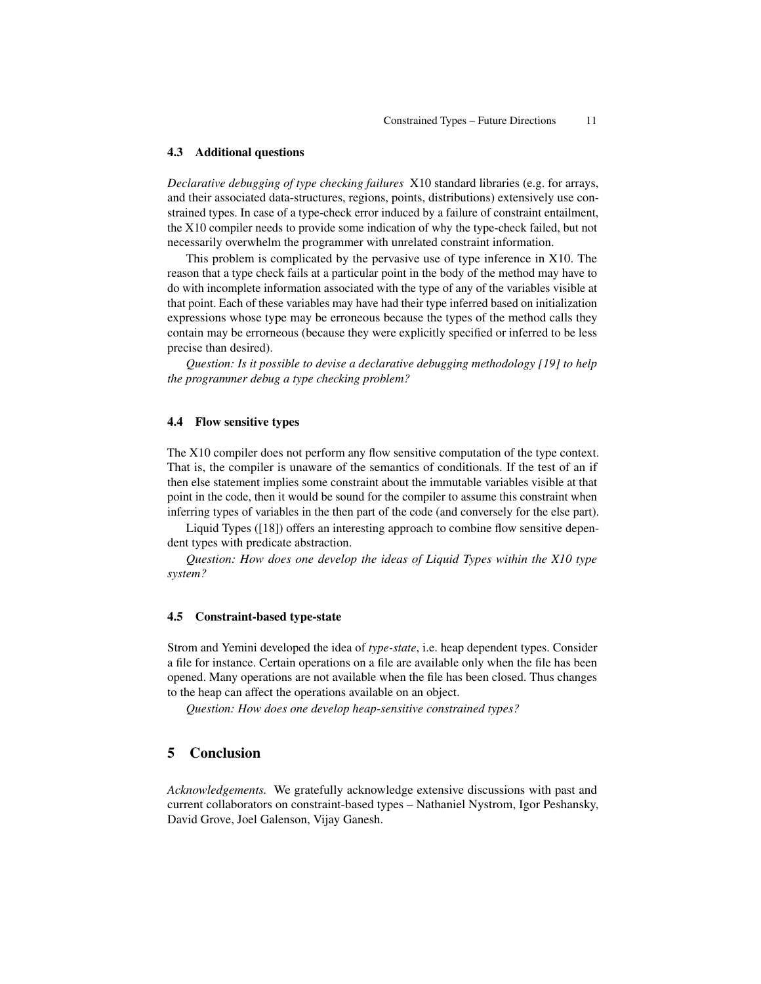#### 4.3 Additional questions

*Declarative debugging of type checking failures* X10 standard libraries (e.g. for arrays, and their associated data-structures, regions, points, distributions) extensively use constrained types. In case of a type-check error induced by a failure of constraint entailment, the X10 compiler needs to provide some indication of why the type-check failed, but not necessarily overwhelm the programmer with unrelated constraint information.

This problem is complicated by the pervasive use of type inference in X10. The reason that a type check fails at a particular point in the body of the method may have to do with incomplete information associated with the type of any of the variables visible at that point. Each of these variables may have had their type inferred based on initialization expressions whose type may be erroneous because the types of the method calls they contain may be errorneous (because they were explicitly specified or inferred to be less precise than desired).

*Question: Is it possible to devise a declarative debugging methodology [19] to help the programmer debug a type checking problem?*

### 4.4 Flow sensitive types

The X10 compiler does not perform any flow sensitive computation of the type context. That is, the compiler is unaware of the semantics of conditionals. If the test of an if then else statement implies some constraint about the immutable variables visible at that point in the code, then it would be sound for the compiler to assume this constraint when inferring types of variables in the then part of the code (and conversely for the else part).

Liquid Types ([18]) offers an interesting approach to combine flow sensitive dependent types with predicate abstraction.

*Question: How does one develop the ideas of Liquid Types within the X10 type system?*

#### 4.5 Constraint-based type-state

Strom and Yemini developed the idea of *type-state*, i.e. heap dependent types. Consider a file for instance. Certain operations on a file are available only when the file has been opened. Many operations are not available when the file has been closed. Thus changes to the heap can affect the operations available on an object.

*Question: How does one develop heap-sensitive constrained types?*

### 5 Conclusion

*Acknowledgements.* We gratefully acknowledge extensive discussions with past and current collaborators on constraint-based types – Nathaniel Nystrom, Igor Peshansky, David Grove, Joel Galenson, Vijay Ganesh.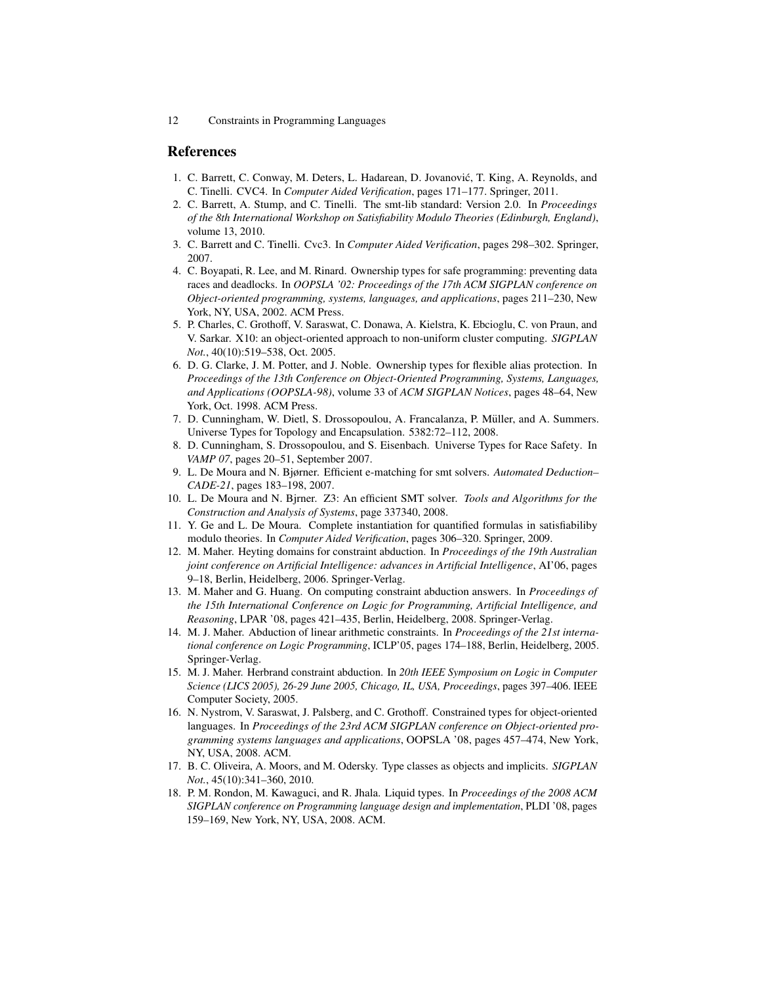# References

- 1. C. Barrett, C. Conway, M. Deters, L. Hadarean, D. Jovanovic, T. King, A. Reynolds, and ´ C. Tinelli. CVC4. In *Computer Aided Verification*, pages 171–177. Springer, 2011.
- 2. C. Barrett, A. Stump, and C. Tinelli. The smt-lib standard: Version 2.0. In *Proceedings of the 8th International Workshop on Satisfiability Modulo Theories (Edinburgh, England)*, volume 13, 2010.
- 3. C. Barrett and C. Tinelli. Cvc3. In *Computer Aided Verification*, pages 298–302. Springer, 2007.
- 4. C. Boyapati, R. Lee, and M. Rinard. Ownership types for safe programming: preventing data races and deadlocks. In *OOPSLA '02: Proceedings of the 17th ACM SIGPLAN conference on Object-oriented programming, systems, languages, and applications*, pages 211–230, New York, NY, USA, 2002. ACM Press.
- 5. P. Charles, C. Grothoff, V. Saraswat, C. Donawa, A. Kielstra, K. Ebcioglu, C. von Praun, and V. Sarkar. X10: an object-oriented approach to non-uniform cluster computing. *SIGPLAN Not.*, 40(10):519–538, Oct. 2005.
- 6. D. G. Clarke, J. M. Potter, and J. Noble. Ownership types for flexible alias protection. In *Proceedings of the 13th Conference on Object-Oriented Programming, Systems, Languages, and Applications (OOPSLA-98)*, volume 33 of *ACM SIGPLAN Notices*, pages 48–64, New York, Oct. 1998. ACM Press.
- 7. D. Cunningham, W. Dietl, S. Drossopoulou, A. Francalanza, P. Müller, and A. Summers. Universe Types for Topology and Encapsulation. 5382:72–112, 2008.
- 8. D. Cunningham, S. Drossopoulou, and S. Eisenbach. Universe Types for Race Safety. In *VAMP 07*, pages 20–51, September 2007.
- 9. L. De Moura and N. Bjørner. Efficient e-matching for smt solvers. *Automated Deduction– CADE-21*, pages 183–198, 2007.
- 10. L. De Moura and N. Bjrner. Z3: An efficient SMT solver. *Tools and Algorithms for the Construction and Analysis of Systems*, page 337340, 2008.
- 11. Y. Ge and L. De Moura. Complete instantiation for quantified formulas in satisfiabiliby modulo theories. In *Computer Aided Verification*, pages 306–320. Springer, 2009.
- 12. M. Maher. Heyting domains for constraint abduction. In *Proceedings of the 19th Australian joint conference on Artificial Intelligence: advances in Artificial Intelligence*, AI'06, pages 9–18, Berlin, Heidelberg, 2006. Springer-Verlag.
- 13. M. Maher and G. Huang. On computing constraint abduction answers. In *Proceedings of the 15th International Conference on Logic for Programming, Artificial Intelligence, and Reasoning*, LPAR '08, pages 421–435, Berlin, Heidelberg, 2008. Springer-Verlag.
- 14. M. J. Maher. Abduction of linear arithmetic constraints. In *Proceedings of the 21st international conference on Logic Programming*, ICLP'05, pages 174–188, Berlin, Heidelberg, 2005. Springer-Verlag.
- 15. M. J. Maher. Herbrand constraint abduction. In *20th IEEE Symposium on Logic in Computer Science (LICS 2005), 26-29 June 2005, Chicago, IL, USA, Proceedings*, pages 397–406. IEEE Computer Society, 2005.
- 16. N. Nystrom, V. Saraswat, J. Palsberg, and C. Grothoff. Constrained types for object-oriented languages. In *Proceedings of the 23rd ACM SIGPLAN conference on Object-oriented programming systems languages and applications*, OOPSLA '08, pages 457–474, New York, NY, USA, 2008. ACM.
- 17. B. C. Oliveira, A. Moors, and M. Odersky. Type classes as objects and implicits. *SIGPLAN Not.*, 45(10):341–360, 2010.
- 18. P. M. Rondon, M. Kawaguci, and R. Jhala. Liquid types. In *Proceedings of the 2008 ACM SIGPLAN conference on Programming language design and implementation*, PLDI '08, pages 159–169, New York, NY, USA, 2008. ACM.